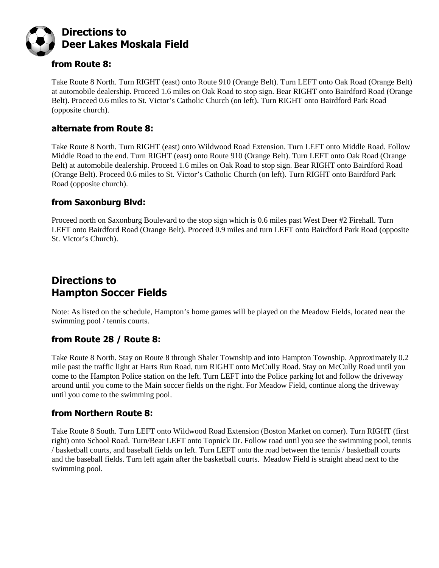

### from Route 8:

Take Route 8 North. Turn RIGHT (east) onto Route 910 (Orange Belt). Turn LEFT onto Oak Road (Orange Belt) at automobile dealership. Proceed 1.6 miles on Oak Road to stop sign. Bear RIGHT onto Bairdford Road (Orange Belt). Proceed 0.6 miles to St. Victor's Catholic Church (on left). Turn RIGHT onto Bairdford Park Road (opposite church).

### alternate from Route 8:

Take Route 8 North. Turn RIGHT (east) onto Wildwood Road Extension. Turn LEFT onto Middle Road. Follow Middle Road to the end. Turn RIGHT (east) onto Route 910 (Orange Belt). Turn LEFT onto Oak Road (Orange Belt) at automobile dealership. Proceed 1.6 miles on Oak Road to stop sign. Bear RIGHT onto Bairdford Road (Orange Belt). Proceed 0.6 miles to St. Victor's Catholic Church (on left). Turn RIGHT onto Bairdford Park Road (opposite church).

### from Saxonburg Blvd:

Proceed north on Saxonburg Boulevard to the stop sign which is 0.6 miles past West Deer #2 Firehall. Turn LEFT onto Bairdford Road (Orange Belt). Proceed 0.9 miles and turn LEFT onto Bairdford Park Road (opposite St. Victor's Church).

# Directions to Hampton Soccer Fields

Note: As listed on the schedule, Hampton's home games will be played on the Meadow Fields, located near the swimming pool / tennis courts.

### from Route 28 / Route 8:

Take Route 8 North. Stay on Route 8 through Shaler Township and into Hampton Township. Approximately 0.2 mile past the traffic light at Harts Run Road, turn RIGHT onto McCully Road. Stay on McCully Road until you come to the Hampton Police station on the left. Turn LEFT into the Police parking lot and follow the driveway around until you come to the Main soccer fields on the right. For Meadow Field, continue along the driveway until you come to the swimming pool.

### from Northern Route 8:

Take Route 8 South. Turn LEFT onto Wildwood Road Extension (Boston Market on corner). Turn RIGHT (first right) onto School Road. Turn/Bear LEFT onto Topnick Dr. Follow road until you see the swimming pool, tennis / basketball courts, and baseball fields on left. Turn LEFT onto the road between the tennis / basketball courts and the baseball fields. Turn left again after the basketball courts. Meadow Field is straight ahead next to the swimming pool.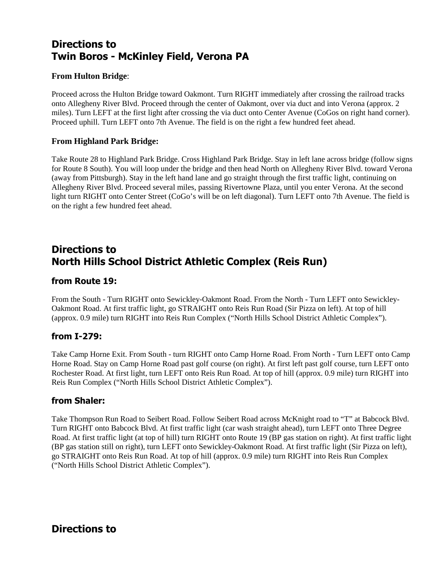# Directions to Twin Boros - McKinley Field, Verona PA

#### **From Hulton Bridge**:

Proceed across the Hulton Bridge toward Oakmont. Turn RIGHT immediately after crossing the railroad tracks onto Allegheny River Blvd. Proceed through the center of Oakmont, over via duct and into Verona (approx. 2 miles). Turn LEFT at the first light after crossing the via duct onto Center Avenue (CoGos on right hand corner). Proceed uphill. Turn LEFT onto 7th Avenue. The field is on the right a few hundred feet ahead.

#### **From Highland Park Bridge:**

Take Route 28 to Highland Park Bridge. Cross Highland Park Bridge. Stay in left lane across bridge (follow signs for Route 8 South). You will loop under the bridge and then head North on Allegheny River Blvd. toward Verona (away from Pittsburgh). Stay in the left hand lane and go straight through the first traffic light, continuing on Allegheny River Blvd. Proceed several miles, passing Rivertowne Plaza, until you enter Verona. At the second light turn RIGHT onto Center Street (CoGo's will be on left diagonal). Turn LEFT onto 7th Avenue. The field is on the right a few hundred feet ahead.

# Directions to North Hills School District Athletic Complex (Reis Run)

#### from Route 19:

From the South - Turn RIGHT onto Sewickley-Oakmont Road. From the North - Turn LEFT onto Sewickley-Oakmont Road. At first traffic light, go STRAIGHT onto Reis Run Road (Sir Pizza on left). At top of hill (approx. 0.9 mile) turn RIGHT into Reis Run Complex ("North Hills School District Athletic Complex").

#### from I-279:

Take Camp Horne Exit. From South - turn RIGHT onto Camp Horne Road. From North - Turn LEFT onto Camp Horne Road. Stay on Camp Horne Road past golf course (on right). At first left past golf course, turn LEFT onto Rochester Road. At first light, turn LEFT onto Reis Run Road. At top of hill (approx. 0.9 mile) turn RIGHT into Reis Run Complex ("North Hills School District Athletic Complex").

#### from Shaler:

Take Thompson Run Road to Seibert Road. Follow Seibert Road across McKnight road to "T" at Babcock Blvd. Turn RIGHT onto Babcock Blvd. At first traffic light (car wash straight ahead), turn LEFT onto Three Degree Road. At first traffic light (at top of hill) turn RIGHT onto Route 19 (BP gas station on right). At first traffic light (BP gas station still on right), turn LEFT onto Sewickley-Oakmont Road. At first traffic light (Sir Pizza on left), go STRAIGHT onto Reis Run Road. At top of hill (approx. 0.9 mile) turn RIGHT into Reis Run Complex ("North Hills School District Athletic Complex").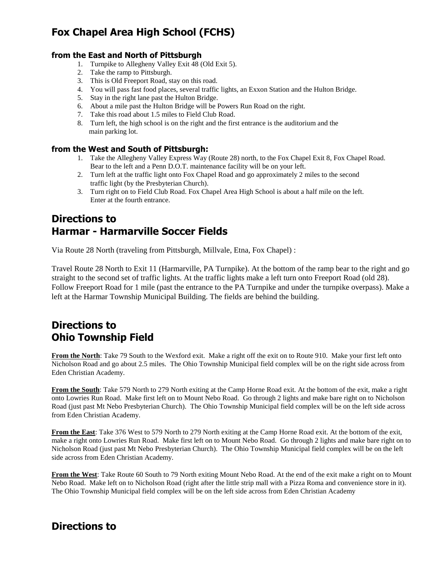# Fox Chapel Area High School (FCHS)

#### from the East and North of Pittsburgh

- 1. Turnpike to Allegheny Valley Exit 48 (Old Exit 5).
- 2. Take the ramp to Pittsburgh.
- 3. This is Old Freeport Road, stay on this road.
- 4. You will pass fast food places, several traffic lights, an Exxon Station and the Hulton Bridge.
- 5. Stay in the right lane past the Hulton Bridge.
- 6. About a mile past the Hulton Bridge will be Powers Run Road on the right.
- 7. Take this road about 1.5 miles to Field Club Road.
- 8. Turn left, the high school is on the right and the first entrance is the auditorium and the main parking lot.

#### from the West and South of Pittsburgh:

- 1. Take the Allegheny Valley Express Way (Route 28) north, to the Fox Chapel Exit 8, Fox Chapel Road. Bear to the left and a Penn D.O.T. maintenance facility will be on your left.
- 2. Turn left at the traffic light onto Fox Chapel Road and go approximately 2 miles to the second traffic light (by the Presbyterian Church).
- 3. Turn right on to Field Club Road. Fox Chapel Area High School is about a half mile on the left. Enter at the fourth entrance.

## Directions to Harmar - Harmarville Soccer Fields

Via Route 28 North (traveling from Pittsburgh, Millvale, Etna, Fox Chapel) :

Travel Route 28 North to Exit 11 (Harmarville, PA Turnpike). At the bottom of the ramp bear to the right and go straight to the second set of traffic lights. At the traffic lights make a left turn onto Freeport Road (old 28). Follow Freeport Road for 1 mile (past the entrance to the PA Turnpike and under the turnpike overpass). Make a left at the Harmar Township Municipal Building. The fields are behind the building.

### Directions to Ohio Township Field

**From the North**: Take 79 South to the Wexford exit. Make a right off the exit on to Route 910. Make your first left onto Nicholson Road and go about 2.5 miles. The Ohio Township Municipal field complex will be on the right side across from Eden Christian Academy.

**From the South**: Take 579 North to 279 North exiting at the Camp Horne Road exit. At the bottom of the exit, make a right onto Lowries Run Road. Make first left on to Mount Nebo Road. Go through 2 lights and make bare right on to Nicholson Road (just past Mt Nebo Presbyterian Church). The Ohio Township Municipal field complex will be on the left side across from Eden Christian Academy.

**From the East**: Take 376 West to 579 North to 279 North exiting at the Camp Horne Road exit. At the bottom of the exit, make a right onto Lowries Run Road. Make first left on to Mount Nebo Road. Go through 2 lights and make bare right on to Nicholson Road (just past Mt Nebo Presbyterian Church). The Ohio Township Municipal field complex will be on the left side across from Eden Christian Academy.

**From the West**: Take Route 60 South to 79 North exiting Mount Nebo Road. At the end of the exit make a right on to Mount Nebo Road. Make left on to Nicholson Road (right after the little strip mall with a Pizza Roma and convenience store in it). The Ohio Township Municipal field complex will be on the left side across from Eden Christian Academy

## Directions to